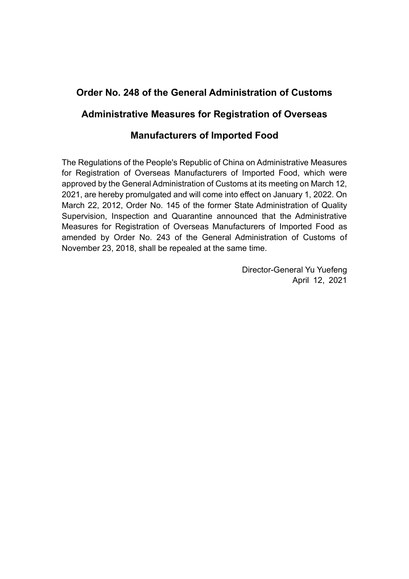# **Order No. 248 of the General Administration of Customs**

# **Administrative Measures for Registration of Overseas**

# **Manufacturers of Imported Food**

The Regulations of the People's Republic of China on Administrative Measures for Registration of Overseas Manufacturers of Imported Food, which were approved by the General Administration of Customs at its meeting on March 12, 2021, are hereby promulgated and will come into effect on January 1, 2022. On March 22, 2012, Order No. 145 of the former State Administration of Quality Supervision, Inspection and Quarantine announced that the Administrative Measures for Registration of Overseas Manufacturers of Imported Food as amended by Order No. 243 of the General Administration of Customs of November 23, 2018, shall be repealed at the same time.

> Director-General Yu Yuefeng April 12, 2021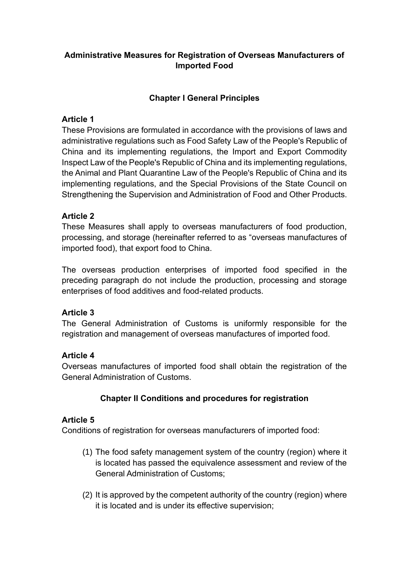# **Administrative Measures for Registration of Overseas Manufacturers of Imported Food**

#### **Chapter I General Principles**

#### **Article 1**

These Provisions are formulated in accordance with the provisions of laws and administrative regulations such as Food Safety Law of the People's Republic of China and its implementing regulations, the Import and Export Commodity Inspect Law of the People's Republic of China and its implementing regulations, the Animal and Plant Quarantine Law of the People's Republic of China and its implementing regulations, and the Special Provisions of the State Council on Strengthening the Supervision and Administration of Food and Other Products.

#### **Article 2**

These Measures shall apply to overseas manufacturers of food production, processing, and storage (hereinafter referred to as "overseas manufactures of imported food), that export food to China.

The overseas production enterprises of imported food specified in the preceding paragraph do not include the production, processing and storage enterprises of food additives and food-related products.

#### **Article 3**

The General Administration of Customs is uniformly responsible for the registration and management of overseas manufactures of imported food.

#### **Article 4**

Overseas manufactures of imported food shall obtain the registration of the General Administration of Customs.

# **Chapter II Conditions and procedures for registration**

#### **Article 5**

Conditions of registration for overseas manufacturers of imported food:

- (1) The food safety management system of the country (region) where it is located has passed the equivalence assessment and review of the General Administration of Customs;
- (2) It is approved by the competent authority of the country (region) where it is located and is under its effective supervision;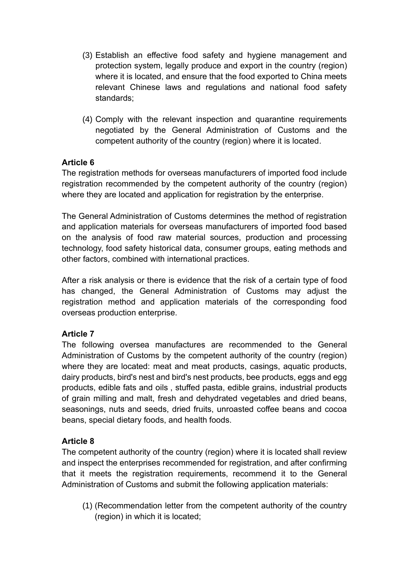- (3) Establish an effective food safety and hygiene management and protection system, legally produce and export in the country (region) where it is located, and ensure that the food exported to China meets relevant Chinese laws and regulations and national food safety standards;
- (4) Comply with the relevant inspection and quarantine requirements negotiated by the General Administration of Customs and the competent authority of the country (region) where it is located.

#### **Article 6**

The registration methods for overseas manufacturers of imported food include registration recommended by the competent authority of the country (region) where they are located and application for registration by the enterprise.

The General Administration of Customs determines the method of registration and application materials for overseas manufacturers of imported food based on the analysis of food raw material sources, production and processing technology, food safety historical data, consumer groups, eating methods and other factors, combined with international practices.

After a risk analysis or there is evidence that the risk of a certain type of food has changed, the General Administration of Customs may adjust the registration method and application materials of the corresponding food overseas production enterprise.

# **Article 7**

The following oversea manufactures are recommended to the General Administration of Customs by the competent authority of the country (region) where they are located: meat and meat products, casings, aquatic products, dairy products, bird's nest and bird's nest products, bee products, eggs and egg products, edible fats and oils , stuffed pasta, edible grains, industrial products of grain milling and malt, fresh and dehydrated vegetables and dried beans, seasonings, nuts and seeds, dried fruits, unroasted coffee beans and cocoa beans, special dietary foods, and health foods.

#### **Article 8**

The competent authority of the country (region) where it is located shall review and inspect the enterprises recommended for registration, and after confirming that it meets the registration requirements, recommend it to the General Administration of Customs and submit the following application materials:

(1) (Recommendation letter from the competent authority of the country (region) in which it is located;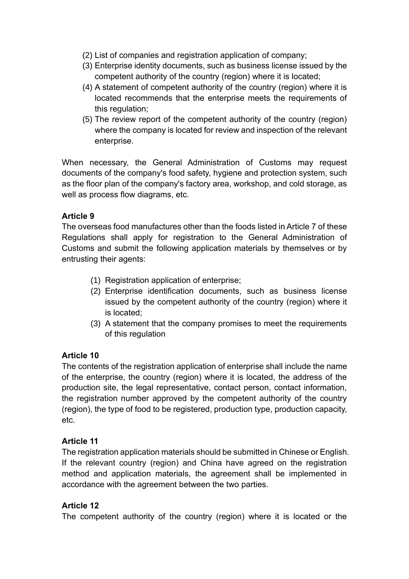- (2) List of companies and registration application of company;
- (3) Enterprise identity documents, such as business license issued by the competent authority of the country (region) where it is located;
- (4) A statement of competent authority of the country (region) where it is located recommends that the enterprise meets the requirements of this regulation;
- (5) The review report of the competent authority of the country (region) where the company is located for review and inspection of the relevant enterprise.

When necessary, the General Administration of Customs may request documents of the company's food safety, hygiene and protection system, such as the floor plan of the company's factory area, workshop, and cold storage, as well as process flow diagrams, etc.

#### **Article 9**

The overseas food manufactures other than the foods listed in Article 7 of these Regulations shall apply for registration to the General Administration of Customs and submit the following application materials by themselves or by entrusting their agents:

- (1) Registration application of enterprise;
- (2) Enterprise identification documents, such as business license issued by the competent authority of the country (region) where it is located;
- (3) A statement that the company promises to meet the requirements of this regulation

#### **Article 10**

The contents of the registration application of enterprise shall include the name of the enterprise, the country (region) where it is located, the address of the production site, the legal representative, contact person, contact information, the registration number approved by the competent authority of the country (region), the type of food to be registered, production type, production capacity, etc.

#### **Article 11**

The registration application materials should be submitted in Chinese or English. If the relevant country (region) and China have agreed on the registration method and application materials, the agreement shall be implemented in accordance with the agreement between the two parties.

#### **Article 12**

The competent authority of the country (region) where it is located or the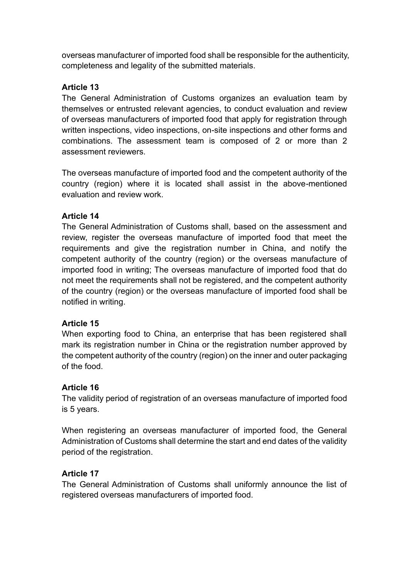overseas manufacturer of imported food shall be responsible for the authenticity, completeness and legality of the submitted materials.

#### **Article 13**

The General Administration of Customs organizes an evaluation team by themselves or entrusted relevant agencies, to conduct evaluation and review of overseas manufacturers of imported food that apply for registration through written inspections, video inspections, on-site inspections and other forms and combinations. The assessment team is composed of 2 or more than 2 assessment reviewers.

The overseas manufacture of imported food and the competent authority of the country (region) where it is located shall assist in the above-mentioned evaluation and review work.

#### **Article 14**

The General Administration of Customs shall, based on the assessment and review, register the overseas manufacture of imported food that meet the requirements and give the registration number in China, and notify the competent authority of the country (region) or the overseas manufacture of imported food in writing; The overseas manufacture of imported food that do not meet the requirements shall not be registered, and the competent authority of the country (region) or the overseas manufacture of imported food shall be notified in writing.

#### **Article 15**

When exporting food to China, an enterprise that has been registered shall mark its registration number in China or the registration number approved by the competent authority of the country (region) on the inner and outer packaging of the food.

#### **Article 16**

The validity period of registration of an overseas manufacture of imported food is 5 years.

When registering an overseas manufacturer of imported food, the General Administration of Customs shall determine the start and end dates of the validity period of the registration.

# **Article 17**

The General Administration of Customs shall uniformly announce the list of registered overseas manufacturers of imported food.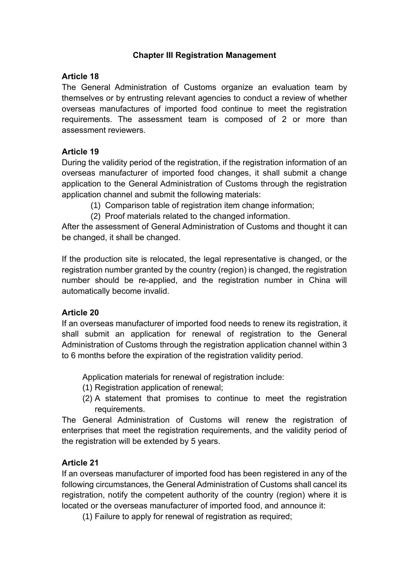#### **Chapter III Registration Management**

#### **Article 18**

The General Administration of Customs organize an evaluation team by themselves or by entrusting relevant agencies to conduct a review of whether overseas manufactures of imported food continue to meet the registration requirements. The assessment team is composed of 2 or more than assessment reviewers.

#### **Article 19**

During the validity period of the registration, if the registration information of an overseas manufacturer of imported food changes, it shall submit a change application to the General Administration of Customs through the registration application channel and submit the following materials:

- (1) Comparison table of registration item change information;
- (2) Proof materials related to the changed information.

After the assessment of General Administration of Customs and thought it can be changed, it shall be changed.

If the production site is relocated, the legal representative is changed, or the registration number granted by the country (region) is changed, the registration number should be re-applied, and the registration number in China will automatically become invalid.

#### **Article 20**

If an overseas manufacturer of imported food needs to renew its registration, it shall submit an application for renewal of registration to the General Administration of Customs through the registration application channel within 3 to 6 months before the expiration of the registration validity period.

Application materials for renewal of registration include:

- (1) Registration application of renewal;
- (2) A statement that promises to continue to meet the registration requirements.

The General Administration of Customs will renew the registration of enterprises that meet the registration requirements, and the validity period of the registration will be extended by 5 years.

#### **Article 21**

If an overseas manufacturer of imported food has been registered in any of the following circumstances, the General Administration of Customs shall cancel its registration, notify the competent authority of the country (region) where it is located or the overseas manufacturer of imported food, and announce it:

(1) Failure to apply for renewal of registration as required;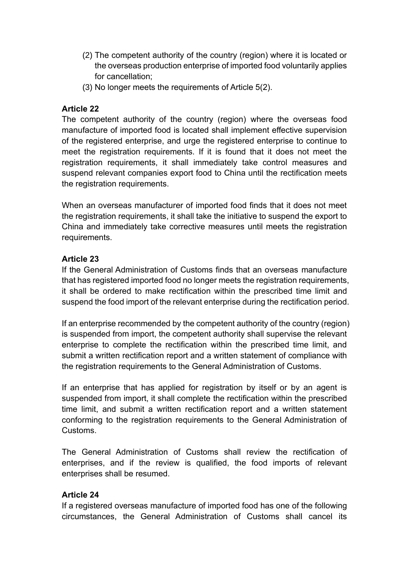- (2) The competent authority of the country (region) where it is located or the overseas production enterprise of imported food voluntarily applies for cancellation;
- (3) No longer meets the requirements of Article 5(2).

#### **Article 22**

The competent authority of the country (region) where the overseas food manufacture of imported food is located shall implement effective supervision of the registered enterprise, and urge the registered enterprise to continue to meet the registration requirements. If it is found that it does not meet the registration requirements, it shall immediately take control measures and suspend relevant companies export food to China until the rectification meets the registration requirements.

When an overseas manufacturer of imported food finds that it does not meet the registration requirements, it shall take the initiative to suspend the export to China and immediately take corrective measures until meets the registration requirements.

#### **Article 23**

If the General Administration of Customs finds that an overseas manufacture that has registered imported food no longer meets the registration requirements, it shall be ordered to make rectification within the prescribed time limit and suspend the food import of the relevant enterprise during the rectification period.

If an enterprise recommended by the competent authority of the country (region) is suspended from import, the competent authority shall supervise the relevant enterprise to complete the rectification within the prescribed time limit, and submit a written rectification report and a written statement of compliance with the registration requirements to the General Administration of Customs.

If an enterprise that has applied for registration by itself or by an agent is suspended from import, it shall complete the rectification within the prescribed time limit, and submit a written rectification report and a written statement conforming to the registration requirements to the General Administration of Customs.

The General Administration of Customs shall review the rectification of enterprises, and if the review is qualified, the food imports of relevant enterprises shall be resumed.

#### **Article 24**

If a registered overseas manufacture of imported food has one of the following circumstances, the General Administration of Customs shall cancel its